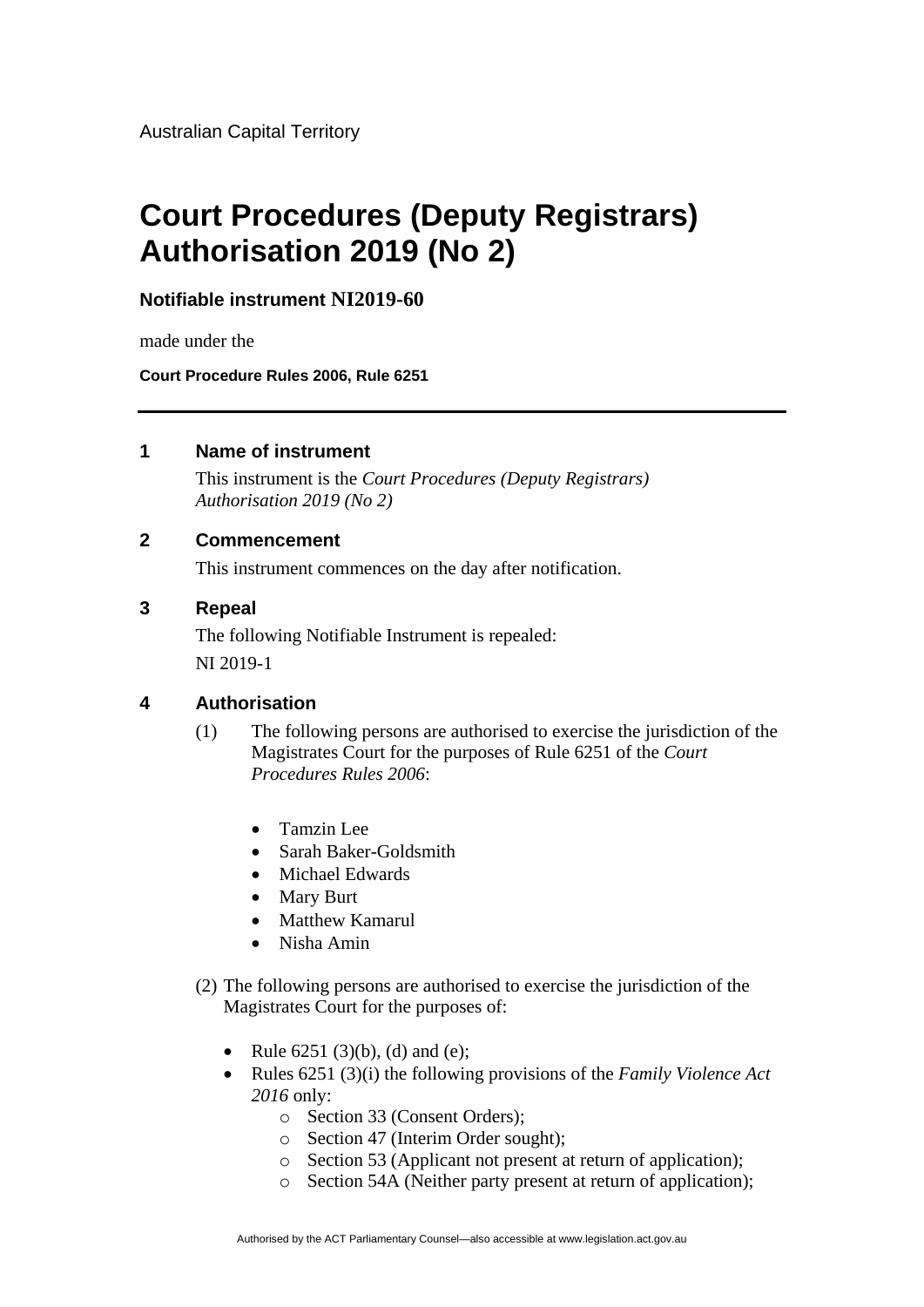Australian Capital Territory

# **Court Procedures (Deputy Registrars) Authorisation 2019 (No 2)**

**Notifiable instrument NI2019-60**

made under the

**Court Procedure Rules 2006, Rule 6251**

## **1 Name of instrument**

This instrument is the *Court Procedures (Deputy Registrars) Authorisation 2019 (No 2)*

## **2 Commencement**

This instrument commences on the day after notification.

#### **3 Repeal**

The following Notifiable Instrument is repealed: NI 2019-1

## **4 Authorisation**

- (1) The following persons are authorised to exercise the jurisdiction of the Magistrates Court for the purposes of Rule 6251 of the *Court Procedures Rules 2006*:
	- Tamzin Lee
	- Sarah Baker-Goldsmith
	- Michael Edwards
	- Mary Burt
	- Matthew Kamarul
	- Nisha Amin
- (2) The following persons are authorised to exercise the jurisdiction of the Magistrates Court for the purposes of:
	- Rule  $6251 (3)(b)$ , (d) and (e);
	- Rules 6251 (3)(i) the following provisions of the *Family Violence Act 2016* only:
		- o Section 33 (Consent Orders);
		- o Section 47 (Interim Order sought);
		- o Section 53 (Applicant not present at return of application);
		- o Section 54A (Neither party present at return of application);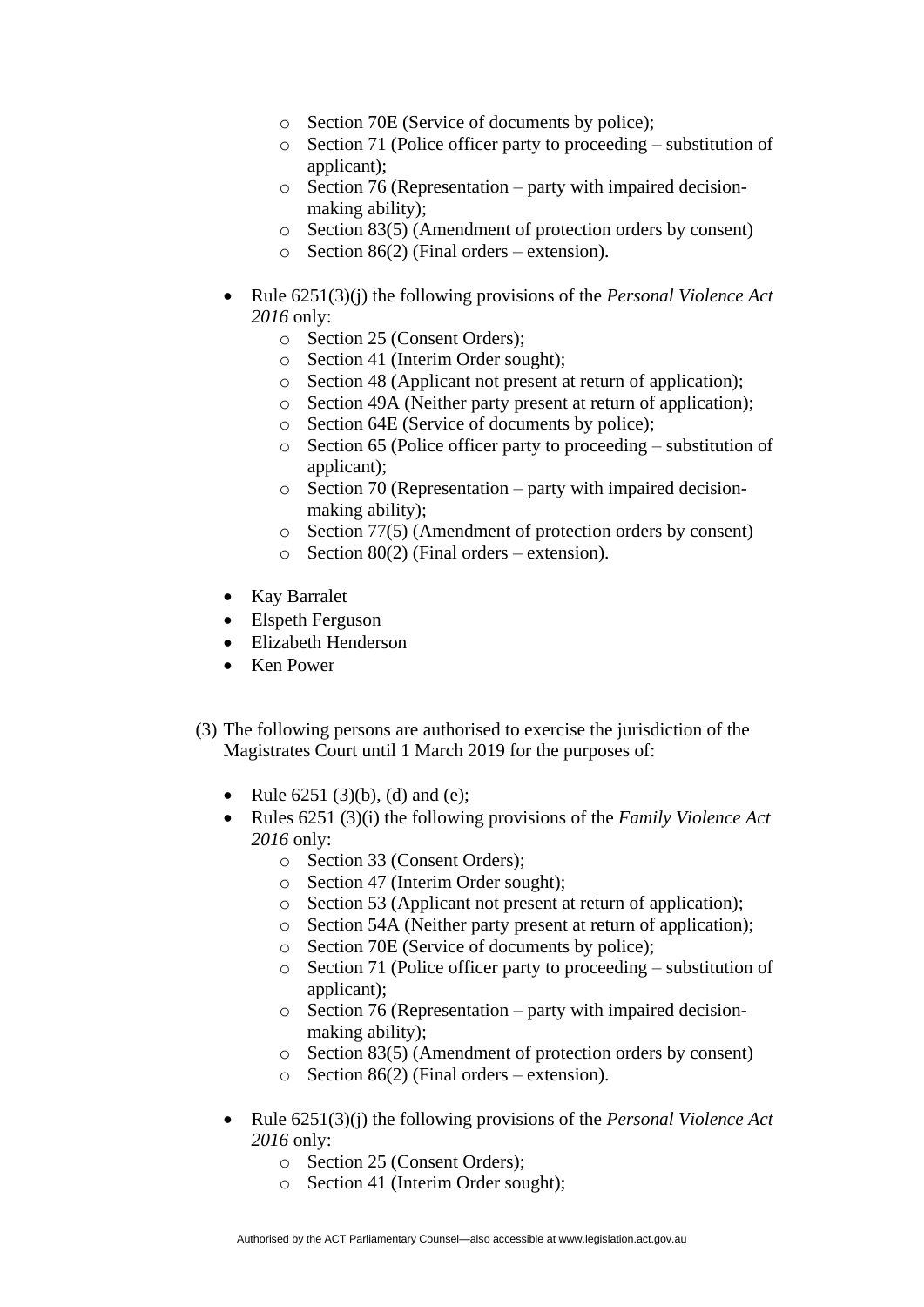- o Section 70E (Service of documents by police);
- o Section 71 (Police officer party to proceeding substitution of applicant);
- o Section 76 (Representation party with impaired decisionmaking ability);
- o Section 83(5) (Amendment of protection orders by consent)
- $\circ$  Section 86(2) (Final orders extension).
- Rule 6251(3)(j) the following provisions of the *Personal Violence Act 2016* only:
	- o Section 25 (Consent Orders);
	- o Section 41 (Interim Order sought);
	- o Section 48 (Applicant not present at return of application);
	- o Section 49A (Neither party present at return of application);
	- o Section 64E (Service of documents by police);
	- o Section 65 (Police officer party to proceeding substitution of applicant);
	- o Section 70 (Representation party with impaired decisionmaking ability);
	- o Section 77(5) (Amendment of protection orders by consent)
	- $\circ$  Section 80(2) (Final orders extension).
- Kay Barralet
- Elspeth Ferguson
- Elizabeth Henderson
- Ken Power
- (3) The following persons are authorised to exercise the jurisdiction of the Magistrates Court until 1 March 2019 for the purposes of:
	- Rule  $6251 (3)(b)$ , (d) and (e);
	- Rules 6251 (3)(i) the following provisions of the *Family Violence Act 2016* only:
		- o Section 33 (Consent Orders);
		- o Section 47 (Interim Order sought);
		- o Section 53 (Applicant not present at return of application);
		- o Section 54A (Neither party present at return of application);
		- o Section 70E (Service of documents by police);
		- o Section 71 (Police officer party to proceeding substitution of applicant);
		- o Section 76 (Representation party with impaired decisionmaking ability);
		- o Section 83(5) (Amendment of protection orders by consent)
		- $\circ$  Section 86(2) (Final orders extension).
	- Rule 6251(3)(j) the following provisions of the *Personal Violence Act 2016* only:
		- o Section 25 (Consent Orders);
		- o Section 41 (Interim Order sought);